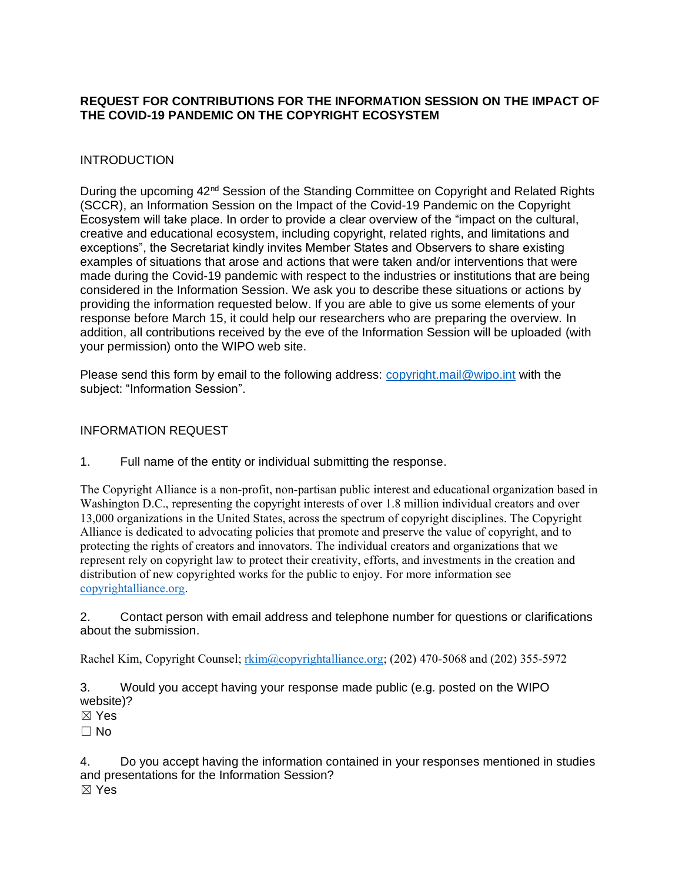### **REQUEST FOR CONTRIBUTIONS FOR THE INFORMATION SESSION ON THE IMPACT OF THE COVID-19 PANDEMIC ON THE COPYRIGHT ECOSYSTEM**

### INTRODUCTION

During the upcoming 42<sup>nd</sup> Session of the Standing Committee on Copyright and Related Rights (SCCR), an Information Session on the Impact of the Covid-19 Pandemic on the Copyright Ecosystem will take place. In order to provide a clear overview of the "impact on the cultural, creative and educational ecosystem, including copyright, related rights, and limitations and exceptions", the Secretariat kindly invites Member States and Observers to share existing examples of situations that arose and actions that were taken and/or interventions that were made during the Covid-19 pandemic with respect to the industries or institutions that are being considered in the Information Session. We ask you to describe these situations or actions by providing the information requested below. If you are able to give us some elements of your response before March 15, it could help our researchers who are preparing the overview. In addition, all contributions received by the eve of the Information Session will be uploaded (with your permission) onto the WIPO web site.

Please send this form by email to the following address: [copyright.mail@wipo.int](mailto:copyright.mail@wipo.int) with the subject: "Information Session".

#### INFORMATION REQUEST

1. Full name of the entity or individual submitting the response.

The Copyright Alliance is a non-profit, non-partisan public interest and educational organization based in Washington D.C., representing the copyright interests of over 1.8 million individual creators and over 13,000 organizations in the United States, across the spectrum of copyright disciplines. The Copyright Alliance is dedicated to advocating policies that promote and preserve the value of copyright, and to protecting the rights of creators and innovators. The individual creators and organizations that we represent rely on copyright law to protect their creativity, efforts, and investments in the creation and distribution of new copyrighted works for the public to enjoy. For more information see [copyrightalliance.org.](https://copyrightalliance.org/)

2. Contact person with email address and telephone number for questions or clarifications about the submission.

Rachel Kim, Copyright Counsel; [rkim@copyrightalliance.org;](mailto:rkim@copyrightalliance.org) (202) 470-5068 and (202) 355-5972

3. Would you accept having your response made public (e.g. posted on the WIPO website)?

☒ Yes

 $\Box$  No

4. Do you accept having the information contained in your responses mentioned in studies and presentations for the Information Session? ☒ Yes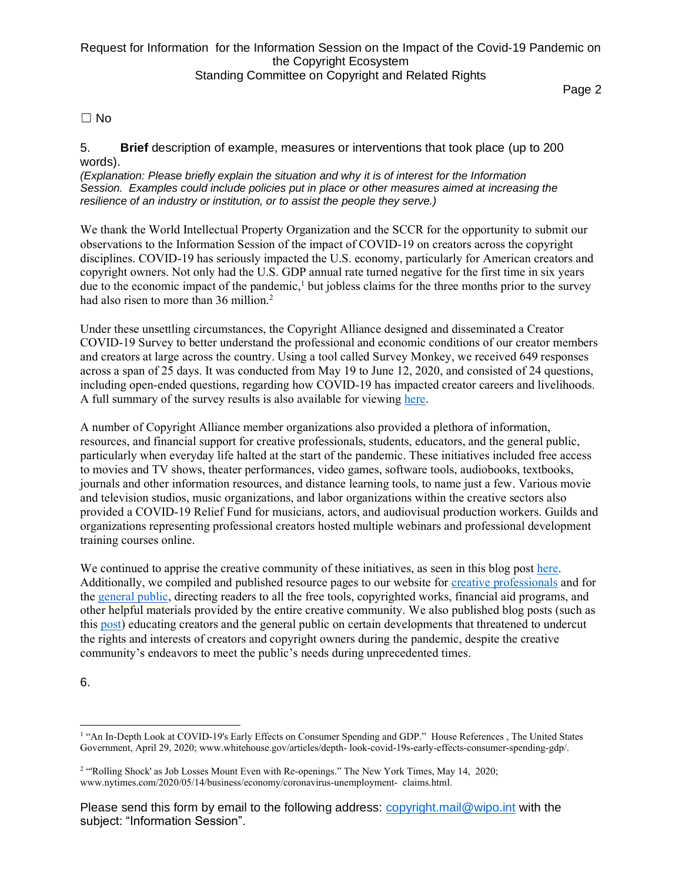# Request for Information for the Information Session on the Impact of the Covid-19 Pandemic on the Copyright Ecosystem Standing Committee on Copyright and Related Rights

Page 2

 $\Box$  No

5. **Brief** description of example, measures or interventions that took place (up to 200 words).

*(Explanation: Please briefly explain the situation and why it is of interest for the Information Session. Examples could include policies put in place or other measures aimed at increasing the resilience of an industry or institution, or to assist the people they serve.)*

We thank the World Intellectual Property Organization and the SCCR for the opportunity to submit our observations to the Information Session of the impact of COVID-19 on creators across the copyright disciplines. COVID-19 has seriously impacted the U.S. economy, particularly for American creators and copyright owners. Not only had the U.S. GDP annual rate turned negative for the first time in six years due to the economic impact of the pandemic, $\frac{1}{2}$  but jobless claims for the three months prior to the survey had also risen to more than 36 million.<sup>2</sup>

Under these unsettling circumstances, the Copyright Alliance designed and disseminated a Creator COVID-19 Survey to better understand the professional and economic conditions of our creator members and creators at large across the country. Using a tool called Survey Monkey, we received 649 responses across a span of 25 days. It was conducted from May 19 to June 12, 2020, and consisted of 24 questions, including open-ended questions, regarding how COVID-19 has impacted creator careers and livelihoods. A full summary of the survey results is also available for viewing [here.](https://copyrightalliance.org/wp-content/uploads/2021/02/COVID-19-Creator-Survey-Summary.pdf)

A number of Copyright Alliance member organizations also provided a plethora of information, resources, and financial support for creative professionals, students, educators, and the general public, particularly when everyday life halted at the start of the pandemic. These initiatives included free access to movies and TV shows, theater performances, video games, software tools, audiobooks, textbooks, journals and other information resources, and distance learning tools, to name just a few. Various movie and television studios, music organizations, and labor organizations within the creative sectors also provided a COVID-19 Relief Fund for musicians, actors, and audiovisual production workers. Guilds and organizations representing professional creators hosted multiple webinars and professional development training courses online.

We continued to apprise the creative community of these initiatives, as seen in this blog post [here.](https://copyrightalliance.org/creators-rally-to-support-the-public-during-covid-19/) Additionally, we compiled and published resource pages to our website for [creative professionals](https://copyrightalliance.org/trending-topics/economic-and-career-initiatives-dedicated-to-assisting-creators-during-coronavirus/) and for the [general public,](https://copyrightalliance.org/trending-topics/resources-from-creator-copyright-community-to-ease-coronavirus-impact/) directing readers to all the free tools, copyrighted works, financial aid programs, and other helpful materials provided by the entire creative community. We also published blog posts (such as this [post\)](https://copyrightalliance.org/the-emergence-of-copyright-looting/https:/copyrightalliance.org/the-emergence-of-copyright-looting/) educating creators and the general public on certain developments that threatened to undercut the rights and interests of creators and copyright owners during the pandemic, despite the creative community's endeavors to meet the public's needs during unprecedented times.

6.

<sup>&</sup>lt;sup>1</sup> "An In-Depth Look at COVID-19's Early Effects on Consumer Spending and GDP." House References, The United States Government, April 29, 2020; www.whitehouse.gov/articles/depth- look-covid-19s-early-effects-consumer-spending-gdp/.

<sup>&</sup>lt;sup>2</sup> "Rolling Shock' as Job Losses Mount Even with Re-openings." The New York Times, May 14, 2020; www.nytimes.com/2020/05/14/business/economy/coronavirus-unemployment- claims.html.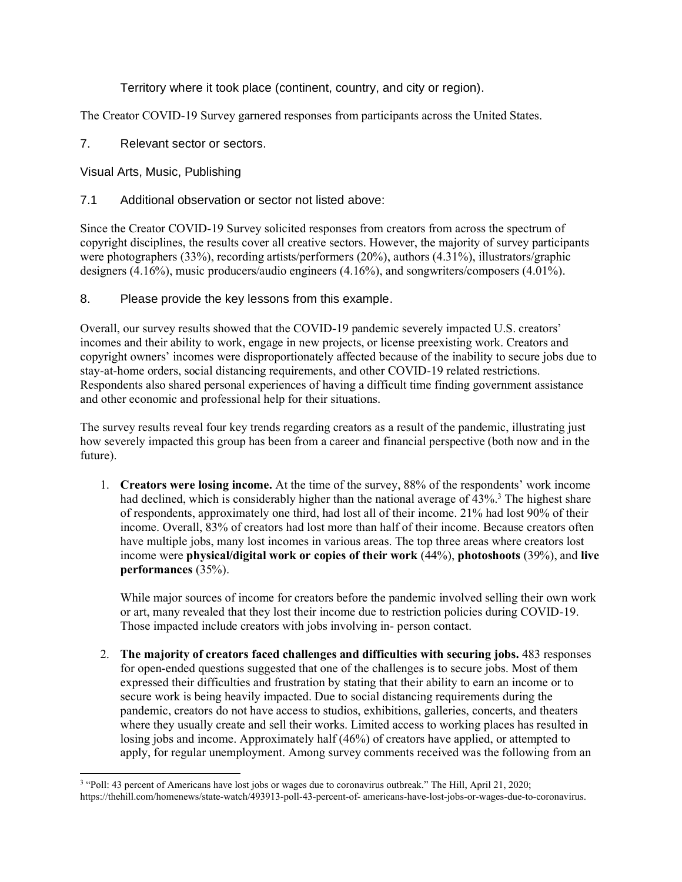Territory where it took place (continent, country, and city or region).

The Creator COVID-19 Survey garnered responses from participants across the United States.

7. Relevant sector or sectors.

Visual Arts, Music, Publishing

7.1 Additional observation or sector not listed above:

Since the Creator COVID-19 Survey solicited responses from creators from across the spectrum of copyright disciplines, the results cover all creative sectors. However, the majority of survey participants were photographers (33%), recording artists/performers (20%), authors (4.31%), illustrators/graphic designers (4.16%), music producers/audio engineers (4.16%), and songwriters/composers (4.01%).

8. Please provide the key lessons from this example.

Overall, our survey results showed that the COVID-19 pandemic severely impacted U.S. creators' incomes and their ability to work, engage in new projects, or license preexisting work. Creators and copyright owners' incomes were disproportionately affected because of the inability to secure jobs due to stay-at-home orders, social distancing requirements, and other COVID-19 related restrictions. Respondents also shared personal experiences of having a difficult time finding government assistance and other economic and professional help for their situations.

The survey results reveal four key trends regarding creators as a result of the pandemic, illustrating just how severely impacted this group has been from a career and financial perspective (both now and in the future).

1. **Creators were losing income.** At the time of the survey, 88% of the respondents' work income had declined, which is considerably higher than the national average of 43%.<sup>3</sup> The highest share of respondents, approximately one third, had lost all of their income. 21% had lost 90% of their income. Overall, 83% of creators had lost more than half of their income. Because creators often have multiple jobs, many lost incomes in various areas. The top three areas where creators lost income were **physical/digital work or copies of their work** (44%), **photoshoots** (39%), and **live performances** (35%).

While major sources of income for creators before the pandemic involved selling their own work or art, many revealed that they lost their income due to restriction policies during COVID-19. Those impacted include creators with jobs involving in- person contact.

2. **The majority of creators faced challenges and difficulties with securing jobs.** 483 responses for open-ended questions suggested that one of the challenges is to secure jobs. Most of them expressed their difficulties and frustration by stating that their ability to earn an income or to secure work is being heavily impacted. Due to social distancing requirements during the pandemic, creators do not have access to studios, exhibitions, galleries, concerts, and theaters where they usually create and sell their works. Limited access to working places has resulted in losing jobs and income. Approximately half (46%) of creators have applied, or attempted to apply, for regular unemployment. Among survey comments received was the following from an

<sup>&</sup>lt;sup>3</sup> "Poll: 43 percent of Americans have lost jobs or wages due to coronavirus outbreak." The Hill, April 21, 2020; https://thehill.com/homenews/state-watch/493913-poll-43-percent-of- americans-have-lost-jobs-or-wages-due-to-coronavirus.